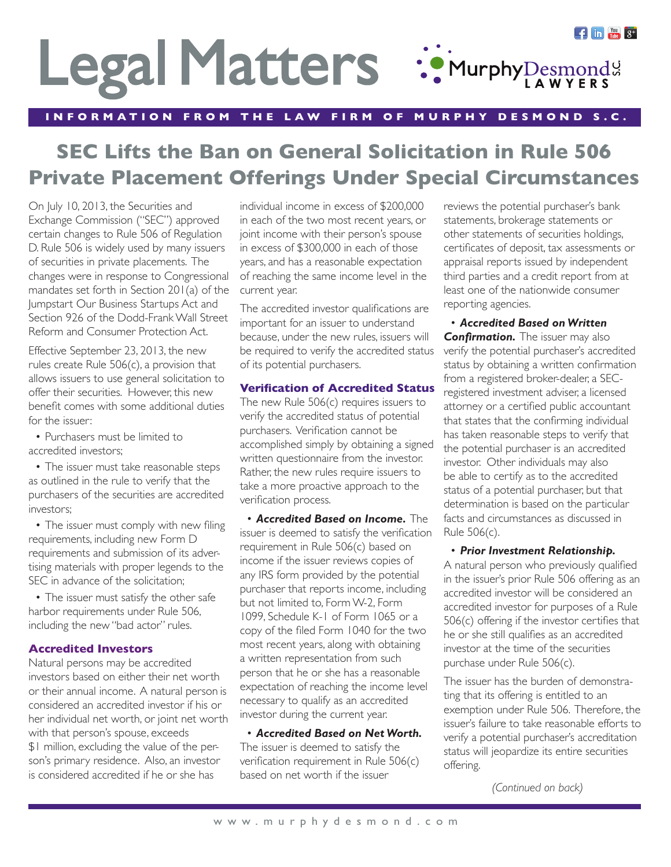# $\mathbf{f}$  in  $\mathbb{R}^m$   $8^+$ Legal Matters :: MurphyDesmond:

**INFORMATION FROM THE LAW FIRM OF MURPHY DESMOND S.C.**

# **SEC Lifts the Ban on General Solicitation in Rule 506 Private Placement Offerings Under Special Circumstances**

On July 10, 2013, the Securities and Exchange Commission ("SEC") approved certain changes to Rule 506 of Regulation D. Rule 506 is widely used by many issuers of securities in private placements. The changes were in response to Congressional mandates set forth in Section 201(a) of the Jumpstart Our Business Startups Act and Section 926 of the Dodd-Frank Wall Street Reform and Consumer Protection Act.

Effective September 23, 2013, the new rules create Rule 506(c), a provision that allows issuers to use general solicitation to offer their securities. However, this new benefit comes with some additional duties for the issuer:

• Purchasers must be limited to accredited investors;

• The issuer must take reasonable steps as outlined in the rule to verify that the purchasers of the securities are accredited investors;

• The issuer must comply with new filing requirements, including new Form D requirements and submission of its advertising materials with proper legends to the SEC in advance of the solicitation:

• The issuer must satisfy the other safe harbor requirements under Rule 506, including the new "bad actor" rules.

### **Accredited Investors**

Natural persons may be accredited investors based on either their net worth or their annual income. A natural person is considered an accredited investor if his or her individual net worth, or joint net worth with that person's spouse, exceeds \$1 million, excluding the value of the person's primary residence. Also, an investor is considered accredited if he or she has

individual income in excess of \$200,000 in each of the two most recent years, or joint income with their person's spouse in excess of \$300,000 in each of those years, and has a reasonable expectation of reaching the same income level in the current year.

The accredited investor qualifications are important for an issuer to understand because, under the new rules, issuers will be required to verify the accredited status of its potential purchasers.

# **Verification of Accredited Status**

The new Rule 506(c) requires issuers to verify the accredited status of potential purchasers. Verification cannot be accomplished simply by obtaining a signed written questionnaire from the investor. Rather, the new rules require issuers to take a more proactive approach to the verification process.

• *Accredited Based on Income.* The issuer is deemed to satisfy the verification requirement in Rule 506(c) based on income if the issuer reviews copies of any IRS form provided by the potential purchaser that reports income, including but not limited to, Form W-2, Form 1099, Schedule K-1 of Form 1065 or a copy of the filed Form 1040 for the two most recent years, along with obtaining a written representation from such person that he or she has a reasonable expectation of reaching the income level necessary to qualify as an accredited investor during the current year.

• *Accredited Based on Net Worth.*  The issuer is deemed to satisfy the verification requirement in Rule 506(c) based on net worth if the issuer

reviews the potential purchaser's bank statements, brokerage statements or other statements of securities holdings, certificates of deposit, tax assessments or appraisal reports issued by independent third parties and a credit report from at least one of the nationwide consumer reporting agencies.

• *Accredited Based on Written*  **Confirmation.** The issuer may also verify the potential purchaser's accredited status by obtaining a written confirmation from a registered broker-dealer, a SECregistered investment adviser, a licensed attorney or a certified public accountant that states that the confirming individual has taken reasonable steps to verify that the potential purchaser is an accredited investor. Other individuals may also be able to certify as to the accredited status of a potential purchaser, but that determination is based on the particular facts and circumstances as discussed in Rule 506(c).

# • *Prior Investment Relationship.*

A natural person who previously qualified in the issuer's prior Rule 506 offering as an accredited investor will be considered an accredited investor for purposes of a Rule 506(c) offering if the investor certifies that he or she still qualifies as an accredited investor at the time of the securities purchase under Rule 506(c).

The issuer has the burden of demonstrating that its offering is entitled to an exemption under Rule 506. Therefore, the issuer's failure to take reasonable efforts to verify a potential purchaser's accreditation status will jeopardize its entire securities offering.

*(Continued on back)*